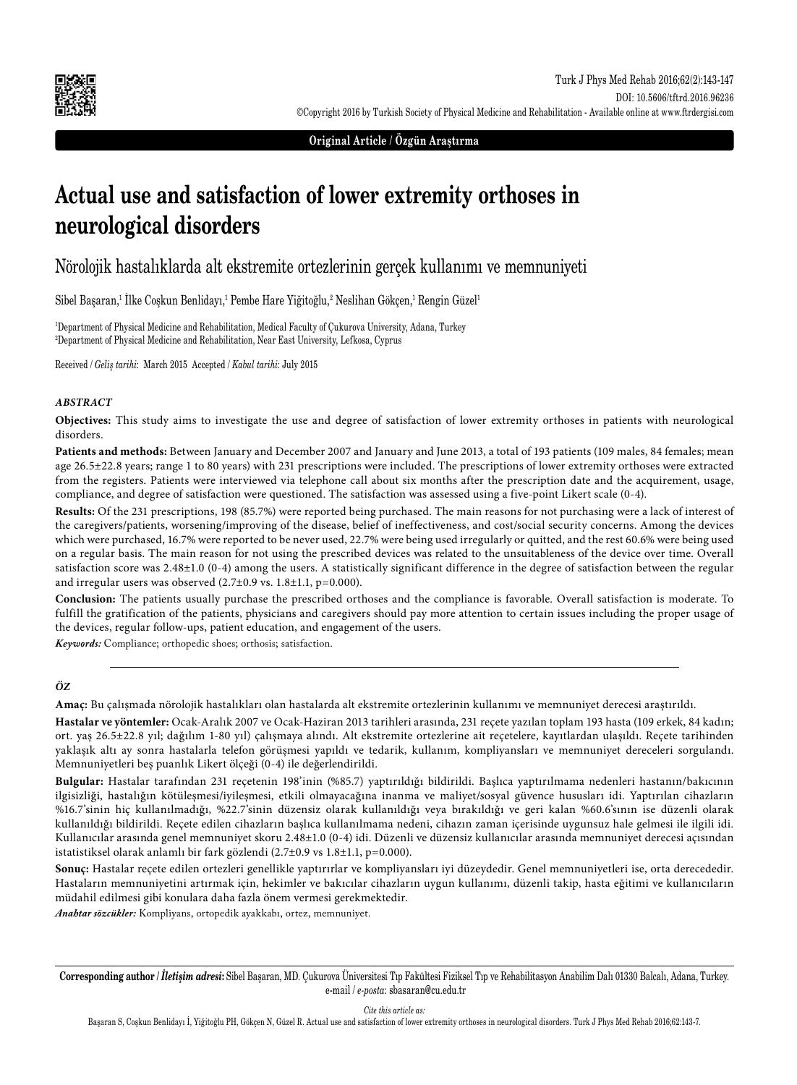

**Original Article / Özgün Araştırma**

# **Actual use and satisfaction of lower extremity orthoses in neurological disorders**

# Nörolojik hastalıklarda alt ekstremite ortezlerinin gerçek kullanımı ve memnuniyeti

Sibel Başaran,<sup>1</sup> Ilke Coşkun Benlidayı,<sup>1</sup> Pembe Hare Yiğitoğlu,<sup>2</sup> Neslihan Gökçen,<sup>1</sup> Rengin Güzel<sup>1</sup>

1 Department of Physical Medicine and Rehabilitation, Medical Faculty of Çukurova University, Adana, Turkey 2 Department of Physical Medicine and Rehabilitation, Near East University, Lefkosa, Cyprus

Received / *Geliş tarihi*: March 2015 Accepted / *Kabul tarihi*: July 2015

#### *ABSTRACT*

**Objectives:** This study aims to investigate the use and degree of satisfaction of lower extremity orthoses in patients with neurological disorders.

**Patients and methods:** Between January and December 2007 and January and June 2013, a total of 193 patients (109 males, 84 females; mean age 26.5±22.8 years; range 1 to 80 years) with 231 prescriptions were included. The prescriptions of lower extremity orthoses were extracted from the registers. Patients were interviewed via telephone call about six months after the prescription date and the acquirement, usage, compliance, and degree of satisfaction were questioned. The satisfaction was assessed using a five-point Likert scale (0-4).

**Results:** Of the 231 prescriptions, 198 (85.7%) were reported being purchased. The main reasons for not purchasing were a lack of interest of the caregivers/patients, worsening/improving of the disease, belief of ineffectiveness, and cost/social security concerns. Among the devices which were purchased, 16.7% were reported to be never used, 22.7% were being used irregularly or quitted, and the rest 60.6% were being used on a regular basis. The main reason for not using the prescribed devices was related to the unsuitableness of the device over time. Overall satisfaction score was 2.48±1.0 (0-4) among the users. A statistically significant difference in the degree of satisfaction between the regular and irregular users was observed (2.7±0.9 vs. 1.8±1.1, p=0.000).

**Conclusion:** The patients usually purchase the prescribed orthoses and the compliance is favorable. Overall satisfaction is moderate. To fulfill the gratification of the patients, physicians and caregivers should pay more attention to certain issues including the proper usage of the devices, regular follow-ups, patient education, and engagement of the users.

*Keywords:* Compliance; orthopedic shoes; orthosis; satisfaction.

#### *ÖZ*

**Amaç:** Bu çalışmada nörolojik hastalıkları olan hastalarda alt ekstremite ortezlerinin kullanımı ve memnuniyet derecesi araştırıldı.

**Hastalar ve yöntemler:** Ocak-Aralık 2007 ve Ocak-Haziran 2013 tarihleri arasında, 231 reçete yazılan toplam 193 hasta (109 erkek, 84 kadın; ort. yaş 26.5±22.8 yıl; dağılım 1-80 yıl) çalışmaya alındı. Alt ekstremite ortezlerine ait reçetelere, kayıtlardan ulaşıldı. Reçete tarihinden yaklaşık altı ay sonra hastalarla telefon görüşmesi yapıldı ve tedarik, kullanım, kompliyansları ve memnuniyet dereceleri sorgulandı. Memnuniyetleri beş puanlık Likert ölçeği (0-4) ile değerlendirildi.

**Bulgular:** Hastalar tarafından 231 reçetenin 198'inin (%85.7) yaptırıldığı bildirildi. Başlıca yaptırılmama nedenleri hastanın/bakıcının ilgisizliği, hastalığın kötüleşmesi/iyileşmesi, etkili olmayacağına inanma ve maliyet/sosyal güvence hususları idi. Yaptırılan cihazların %16.7'sinin hiç kullanılmadığı, %22.7'sinin düzensiz olarak kullanıldığı veya bırakıldığı ve geri kalan %60.6'sının ise düzenli olarak kullanıldığı bildirildi. Reçete edilen cihazların başlıca kullanılmama nedeni, cihazın zaman içerisinde uygunsuz hale gelmesi ile ilgili idi. Kullanıcılar arasında genel memnuniyet skoru 2.48±1.0 (0-4) idi. Düzenli ve düzensiz kullanıcılar arasında memnuniyet derecesi açısından istatistiksel olarak anlamlı bir fark gözlendi (2.7±0.9 vs 1.8±1.1, p=0.000).

**Sonuç:** Hastalar reçete edilen ortezleri genellikle yaptırırlar ve kompliyansları iyi düzeydedir. Genel memnuniyetleri ise, orta derecededir. Hastaların memnuniyetini artırmak için, hekimler ve bakıcılar cihazların uygun kullanımı, düzenli takip, hasta eğitimi ve kullanıcıların müdahil edilmesi gibi konulara daha fazla önem vermesi gerekmektedir.

*Anahtar sözcükler:* Kompliyans, ortopedik ayakkabı, ortez, memnuniyet.

**Corresponding author /** *İletişim adresi***:** Sibel Başaran, MD. Çukurova Üniversitesi Tıp Fakültesi Fiziksel Tıp ve Rehabilitasyon Anabilim Dalı 01330 Balcalı, Adana, Turkey. e-mail / *e-posta*: sbasaran@cu.edu.tr

*Cite this article as:*

Başaran S, Coşkun Benlidayı İ, Yiğitoğlu PH, Gökçen N, Güzel R. Actual use and satisfaction of lower extremity orthoses in neurological disorders. Turk J Phys Med Rehab 2016;62:143-7.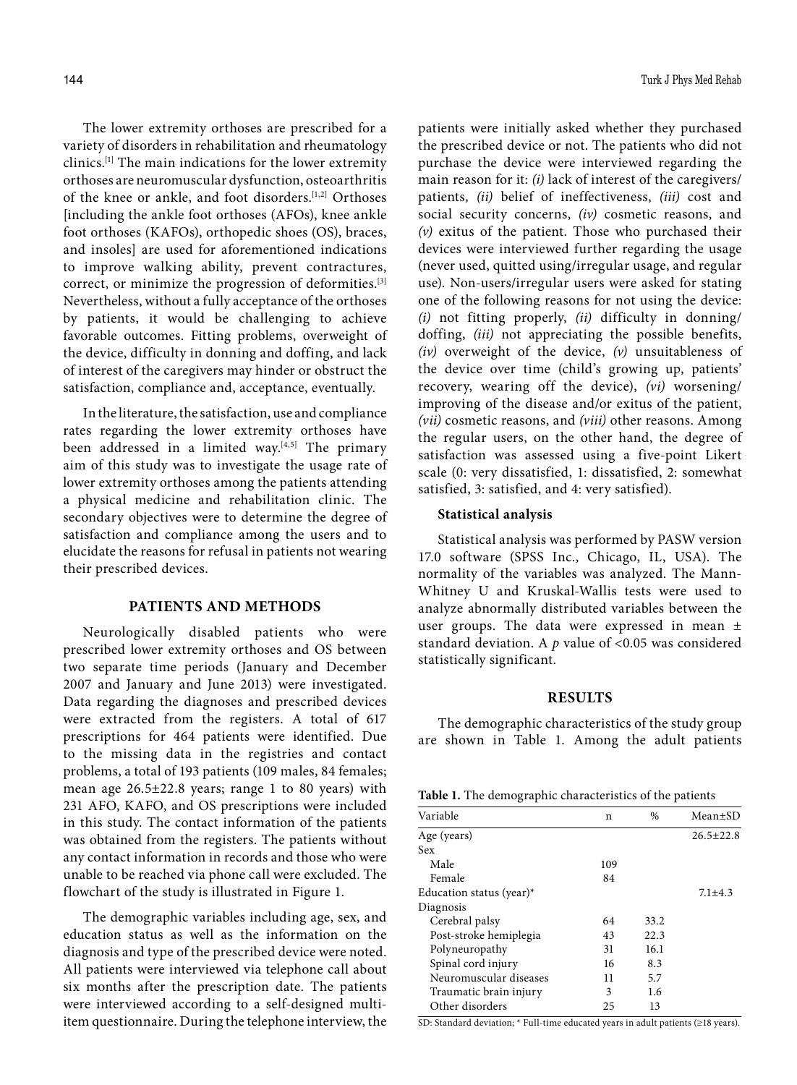The lower extremity orthoses are prescribed for a variety of disorders in rehabilitation and rheumatology clinics.[1] The main indications for the lower extremity orthoses are neuromuscular dysfunction, osteoarthritis of the knee or ankle, and foot disorders.[1,2] Orthoses [including the ankle foot orthoses (AFOs), knee ankle foot orthoses (KAFOs), orthopedic shoes (OS), braces, and insoles] are used for aforementioned indications to improve walking ability, prevent contractures, correct, or minimize the progression of deformities.[3] Nevertheless, without a fully acceptance of the orthoses by patients, it would be challenging to achieve favorable outcomes. Fitting problems, overweight of the device, difficulty in donning and doffing, and lack of interest of the caregivers may hinder or obstruct the satisfaction, compliance and, acceptance, eventually.

In the literature, the satisfaction, use and compliance rates regarding the lower extremity orthoses have been addressed in a limited way.<sup>[4,5]</sup> The primary aim of this study was to investigate the usage rate of lower extremity orthoses among the patients attending a physical medicine and rehabilitation clinic. The secondary objectives were to determine the degree of satisfaction and compliance among the users and to elucidate the reasons for refusal in patients not wearing their prescribed devices.

# **PATIENTS AND METHODS**

Neurologically disabled patients who were prescribed lower extremity orthoses and OS between two separate time periods (January and December 2007 and January and June 2013) were investigated. Data regarding the diagnoses and prescribed devices were extracted from the registers. A total of 617 prescriptions for 464 patients were identified. Due to the missing data in the registries and contact problems, a total of 193 patients (109 males, 84 females; mean age 26.5±22.8 years; range 1 to 80 years) with 231 AFO, KAFO, and OS prescriptions were included in this study. The contact information of the patients was obtained from the registers. The patients without any contact information in records and those who were unable to be reached via phone call were excluded. The flowchart of the study is illustrated in Figure 1.

The demographic variables including age, sex, and education status as well as the information on the diagnosis and type of the prescribed device were noted. All patients were interviewed via telephone call about six months after the prescription date. The patients were interviewed according to a self-designed multiitem questionnaire. During the telephone interview, the patients were initially asked whether they purchased the prescribed device or not. The patients who did not purchase the device were interviewed regarding the main reason for it: *(i)* lack of interest of the caregivers/ patients, *(ii)* belief of ineffectiveness, *(iii)* cost and social security concerns, *(iv)* cosmetic reasons, and *(v)* exitus of the patient. Those who purchased their devices were interviewed further regarding the usage (never used, quitted using/irregular usage, and regular use). Non-users/irregular users were asked for stating one of the following reasons for not using the device: *(i)* not fitting properly, *(ii)* difficulty in donning/ doffing, *(iii)* not appreciating the possible benefits, *(iv)* overweight of the device, *(v)* unsuitableness of the device over time (child's growing up, patients' recovery, wearing off the device), *(vi)* worsening/ improving of the disease and/or exitus of the patient, *(vii)* cosmetic reasons, and *(viii)* other reasons. Among the regular users, on the other hand, the degree of satisfaction was assessed using a five-point Likert scale (0: very dissatisfied, 1: dissatisfied, 2: somewhat satisfied, 3: satisfied, and 4: very satisfied).

### **Statistical analysis**

Statistical analysis was performed by PASW version 17.0 software (SPSS Inc., Chicago, IL, USA). The normality of the variables was analyzed. The Mann-Whitney U and Kruskal-Wallis tests were used to analyze abnormally distributed variables between the user groups. The data were expressed in mean ± standard deviation. A *p* value of <0.05 was considered statistically significant.

# **RESULTS**

The demographic characteristics of the study group are shown in Table 1. Among the adult patients

|  |  |  |  | Table 1. The demographic characteristics of the patients |  |  |
|--|--|--|--|----------------------------------------------------------|--|--|
|--|--|--|--|----------------------------------------------------------|--|--|

| Variable                 | n   | $\%$ | Mean±SD         |
|--------------------------|-----|------|-----------------|
| Age (years)              |     |      | $26.5 \pm 22.8$ |
| Sex                      |     |      |                 |
| Male                     | 109 |      |                 |
| Female                   | 84  |      |                 |
| Education status (year)* |     |      | $7.1 + 4.3$     |
| Diagnosis                |     |      |                 |
| Cerebral palsy           | 64  | 33.2 |                 |
| Post-stroke hemiplegia   | 43  | 22.3 |                 |
| Polyneuropathy           | 31  | 16.1 |                 |
| Spinal cord injury       | 16  | 8.3  |                 |
| Neuromuscular diseases   | 11  | 5.7  |                 |
| Traumatic brain injury   | 3   | 1.6  |                 |
| Other disorders          | 25  | 13   |                 |
|                          |     |      |                 |

SD: Standard deviation; \* Full-time educated years in adult patients (≥18 years).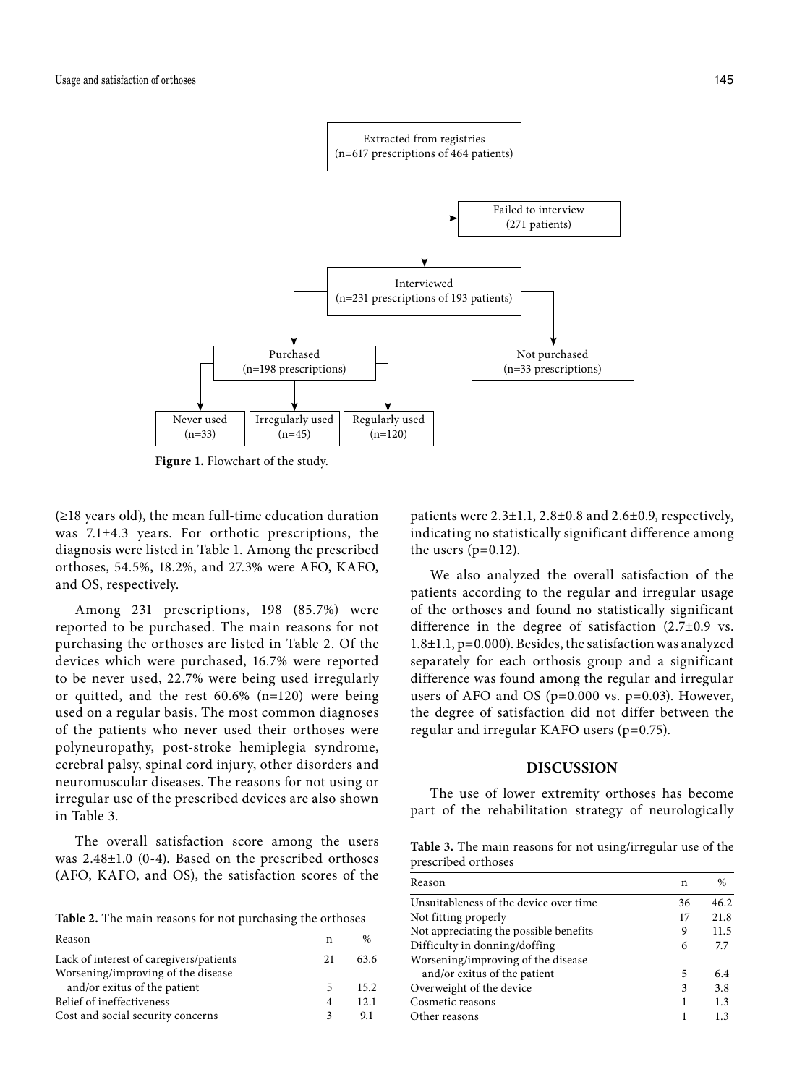

**Figure 1.** Flowchart of the study.

 $(\geq 18$  years old), the mean full-time education duration was 7.1±4.3 years. For orthotic prescriptions, the diagnosis were listed in Table 1. Among the prescribed orthoses, 54.5%, 18.2%, and 27.3% were AFO, KAFO, and OS, respectively.

Among 231 prescriptions, 198 (85.7%) were reported to be purchased. The main reasons for not purchasing the orthoses are listed in Table 2. Of the devices which were purchased, 16.7% were reported to be never used, 22.7% were being used irregularly or quitted, and the rest 60.6% (n=120) were being used on a regular basis. The most common diagnoses of the patients who never used their orthoses were polyneuropathy, post-stroke hemiplegia syndrome, cerebral palsy, spinal cord injury, other disorders and neuromuscular diseases. The reasons for not using or irregular use of the prescribed devices are also shown in Table 3.

The overall satisfaction score among the users was 2.48±1.0 (0-4). Based on the prescribed orthoses (AFO, KAFO, and OS), the satisfaction scores of the

**Table 2.** The main reasons for not purchasing the orthoses

| Reason                                  |    | $\frac{0}{0}$ |
|-----------------------------------------|----|---------------|
| Lack of interest of caregivers/patients | 21 | 63.6          |
| Worsening/improving of the disease      |    |               |
| and/or exitus of the patient            | 5  | 15.2.         |
| Belief of ineffectiveness               | 4  | 12.1          |
| Cost and social security concerns       |    | 9.1           |

patients were  $2.3\pm1.1$ ,  $2.8\pm0.8$  and  $2.6\pm0.9$ , respectively, indicating no statistically significant difference among the users  $(p=0.12)$ .

We also analyzed the overall satisfaction of the patients according to the regular and irregular usage of the orthoses and found no statistically significant difference in the degree of satisfaction (2.7±0.9 vs. 1.8±1.1, p=0.000). Besides, the satisfaction was analyzed separately for each orthosis group and a significant difference was found among the regular and irregular users of AFO and OS (p=0.000 vs. p=0.03). However, the degree of satisfaction did not differ between the regular and irregular KAFO users (p=0.75).

## **DISCUSSION**

The use of lower extremity orthoses has become part of the rehabilitation strategy of neurologically

**Table 3.** The main reasons for not using/irregular use of the prescribed orthoses

| Reason                                 | n  | $\%$ |
|----------------------------------------|----|------|
| Unsuitableness of the device over time | 36 | 46.2 |
| Not fitting properly                   | 17 | 21.8 |
| Not appreciating the possible benefits | 9  | 11.5 |
| Difficulty in donning/doffing          | 6  | 7.7  |
| Worsening/improving of the disease     |    |      |
| and/or exitus of the patient           | 5  | 6.4  |
| Overweight of the device               | 3  | 3.8  |
| Cosmetic reasons                       |    | 1.3  |
| Other reasons                          |    | 1.3  |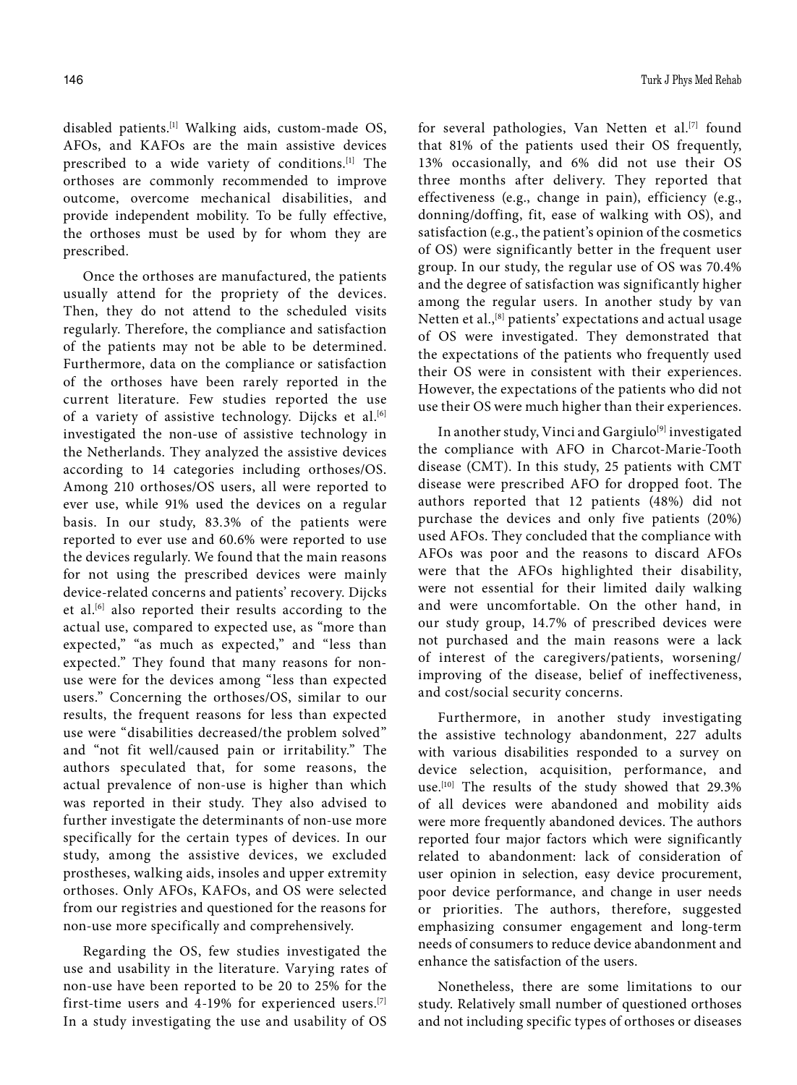disabled patients.[1] Walking aids, custom-made OS, AFOs, and KAFOs are the main assistive devices prescribed to a wide variety of conditions.[1] The orthoses are commonly recommended to improve outcome, overcome mechanical disabilities, and provide independent mobility. To be fully effective, the orthoses must be used by for whom they are prescribed.

Once the orthoses are manufactured, the patients usually attend for the propriety of the devices. Then, they do not attend to the scheduled visits regularly. Therefore, the compliance and satisfaction of the patients may not be able to be determined. Furthermore, data on the compliance or satisfaction of the orthoses have been rarely reported in the current literature. Few studies reported the use of a variety of assistive technology. Dijcks et al.<sup>[6]</sup> investigated the non-use of assistive technology in the Netherlands. They analyzed the assistive devices according to 14 categories including orthoses/OS. Among 210 orthoses/OS users, all were reported to ever use, while 91% used the devices on a regular basis. In our study, 83.3% of the patients were reported to ever use and 60.6% were reported to use the devices regularly. We found that the main reasons for not using the prescribed devices were mainly device-related concerns and patients' recovery. Dijcks et al.[6] also reported their results according to the actual use, compared to expected use, as "more than expected," "as much as expected," and "less than expected." They found that many reasons for nonuse were for the devices among "less than expected users." Concerning the orthoses/OS, similar to our results, the frequent reasons for less than expected use were "disabilities decreased/the problem solved" and "not fit well/caused pain or irritability." The authors speculated that, for some reasons, the actual prevalence of non-use is higher than which was reported in their study. They also advised to further investigate the determinants of non-use more specifically for the certain types of devices. In our study, among the assistive devices, we excluded prostheses, walking aids, insoles and upper extremity orthoses. Only AFOs, KAFOs, and OS were selected from our registries and questioned for the reasons for non-use more specifically and comprehensively.

Regarding the OS, few studies investigated the use and usability in the literature. Varying rates of non-use have been reported to be 20 to 25% for the first-time users and 4-19% for experienced users.[7] In a study investigating the use and usability of OS

for several pathologies, Van Netten et al.[7] found that 81% of the patients used their OS frequently, 13% occasionally, and 6% did not use their OS three months after delivery. They reported that effectiveness (e.g., change in pain), efficiency (e.g., donning/doffing, fit, ease of walking with OS), and satisfaction (e.g., the patient's opinion of the cosmetics of OS) were significantly better in the frequent user group. In our study, the regular use of OS was 70.4% and the degree of satisfaction was significantly higher among the regular users. In another study by van Netten et al.,<sup>[8]</sup> patients' expectations and actual usage of OS were investigated. They demonstrated that the expectations of the patients who frequently used their OS were in consistent with their experiences. However, the expectations of the patients who did not use their OS were much higher than their experiences.

In another study, Vinci and Gargiulo<sup>[9]</sup> investigated the compliance with AFO in Charcot-Marie-Tooth disease (CMT). In this study, 25 patients with CMT disease were prescribed AFO for dropped foot. The authors reported that 12 patients (48%) did not purchase the devices and only five patients (20%) used AFOs. They concluded that the compliance with AFOs was poor and the reasons to discard AFOs were that the AFOs highlighted their disability, were not essential for their limited daily walking and were uncomfortable. On the other hand, in our study group, 14.7% of prescribed devices were not purchased and the main reasons were a lack of interest of the caregivers/patients, worsening/ improving of the disease, belief of ineffectiveness, and cost/social security concerns.

Furthermore, in another study investigating the assistive technology abandonment, 227 adults with various disabilities responded to a survey on device selection, acquisition, performance, and use.<sup>[10]</sup> The results of the study showed that 29.3% of all devices were abandoned and mobility aids were more frequently abandoned devices. The authors reported four major factors which were significantly related to abandonment: lack of consideration of user opinion in selection, easy device procurement, poor device performance, and change in user needs or priorities. The authors, therefore, suggested emphasizing consumer engagement and long-term needs of consumers to reduce device abandonment and enhance the satisfaction of the users.

Nonetheless, there are some limitations to our study. Relatively small number of questioned orthoses and not including specific types of orthoses or diseases